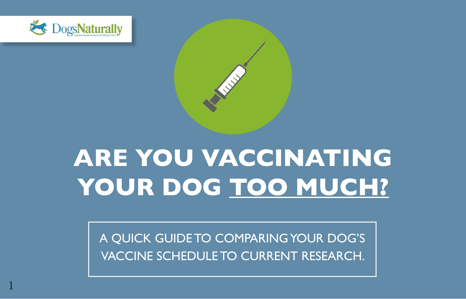

1



# **ARE YOU VACCINATING YOUR DOG TOO MUCH?**

A QUICK GUIDE TO COMPARING YOUR DOG'S VACCINE SCHEDULE TO CURRENT RESEARCH.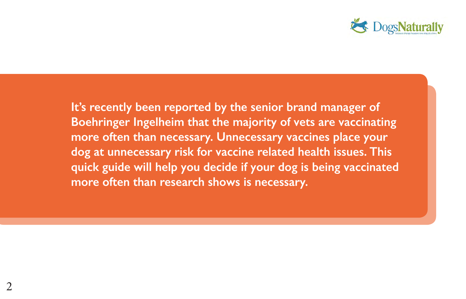

**It's recently been reported by the senior brand manager of Boehringer Ingelheim that the majority of vets are vaccinating more often than necessary. Unnecessary vaccines place your dog at unnecessary risk for vaccine related health issues. This quick guide will help you decide if your dog is being vaccinated more often than research shows is necessary.**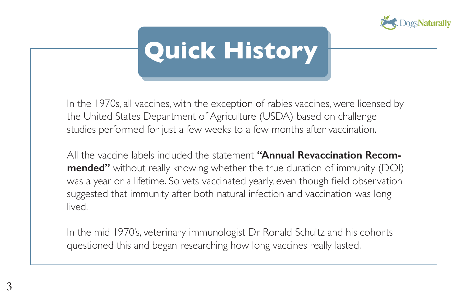

# **Quick History**

In the 1970s, all vaccines, with the exception of rabies vaccines, were licensed by the United States Department of Agriculture (USDA) based on challenge studies performed for just a few weeks to a few months after vaccination.

All the vaccine labels included the statement **''Annual Revaccination Recommended''** without really knowing whether the true duration of immunity (DOI) was a year or a lifetime. So vets vaccinated yearly, even though field observation suggested that immunity after both natural infection and vaccination was long lived.

In the mid 1970's, veterinary immunologist Dr Ronald Schultz and his cohorts questioned this and began researching how long vaccines really lasted.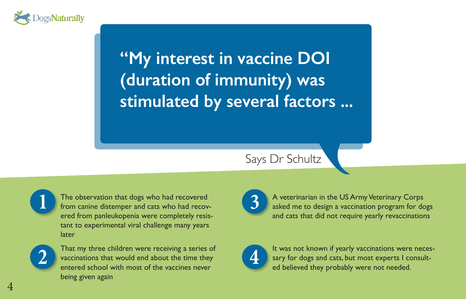

### **"My interest in vaccine DOI (duration of immunity) was stimulated by several factors ...**

Says Dr Schultz

The observation that dogs who had recovered from canine distemper and cats who had recovered from panleukopenia were completely resistant to experimental viral challenge many years later



That my three children were receiving a series of vaccinations that would end about the time they entered school with most of the vaccines never being given again



**3** A veterinarian in the US Army Veterinary Corps asked me to design a vaccination program for dogs and cats that did not require yearly revaccinations



It was not known if yearly vaccinations were necessary for dogs and cats, but most experts I consulted believed they probably were not needed.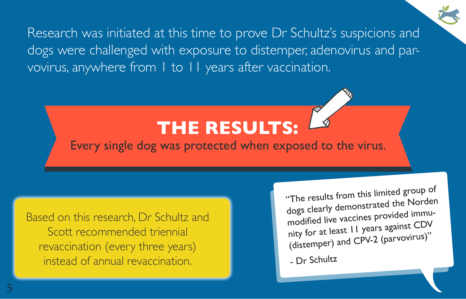Research was initiated at this time to prove Dr Schultz's suspicions and dogs were challenged with exposure to distemper, adenovirus and parvovirus, anywhere from 1 to 11 years after vaccination.

### **THE RESULTS:**

Every single dog was protected when exposed to the virus.

Based on this research, Dr Schultz and Scott recommended triennial revaccination (every three years) instead of annual revaccination.

"The results from this limited group of dogs clearly demonstrated the Norden modified live vaccines provided immunity for at least 11 years against CDV (distemper) and CPV-2 (parvovirus)"

- Dr Schultz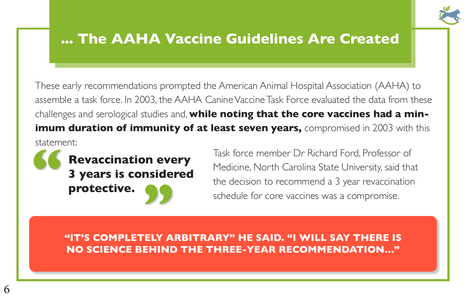

#### **... The AAHA Vaccine Guidelines Are Created**

These early recommendations prompted the American Animal Hospital Association (AAHA) to assemble a task force. In 2003, the AAHA Canine Vaccine Task Force evaluated the data from these challenges and serological studies and, **while noting that the core vaccines had a minimum duration of immunity of at least seven years,** compromised in 2003 with this statement:

**Revaccination every 3 years is considered protective. "**

**1999 Task force member Dr Richard Ford, Professor of<br>
<b>3 years is considered**<br> **1999 Task force member Dr Richard Ford, Professor of**<br> **1999 Medicine, North Carolina State University, said that<br>
the decision to recommend** Medicine, North Carolina State University, said that the decision to recommend a 3 year revaccination schedule for core vaccines was a compromise.

**"IT'S COMPLETELY ARBITRARY" HE SAID. "I WILL SAY THERE IS NO SCIENCE BEHIND THE THREE-YEAR RECOMMENDATION…"**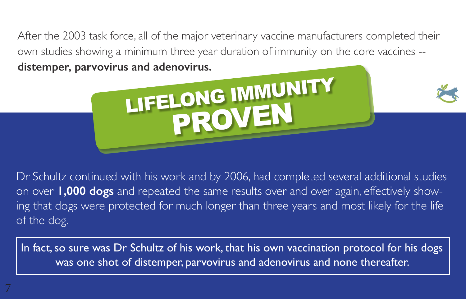After the 2003 task force, all of the major veterinary vaccine manufacturers completed their own studies showing a minimum three year duration of immunity on the core vaccines - **distemper, parvovirus and adenovirus.**



Dr Schultz continued with his work and by 2006, had completed several additional studies on over **1,000 dogs** and repeated the same results over and over again, effectively showing that dogs were protected for much longer than three years and most likely for the life of the dog.

In fact, so sure was Dr Schultz of his work, that his own vaccination protocol for his dogs was one shot of distemper, parvovirus and adenovirus and none thereafter.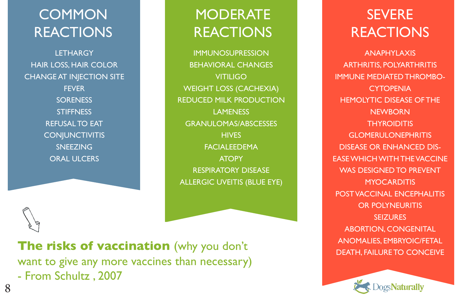#### **COMMON REACTIONS**

**LETHARGY** HAIR LOSS, HAIR COLOR CHANGE AT INJECTION SITE **FEVER SORENESS STIFFNESS** REFUSAL TO EAT **CONJUNCTIVITIS** SNEEZING ORAL ULCERS

#### **MODERATE REACTIONS**

IMMUNOSUPRESSION BEHAVIORAL CHANGES VITILIGO WEIGHT LOSS (CACHEXIA) REDUCED MILK PRODUCTION LAMENESS GRANULOMAS/ABSCESSES **HIVES** FACIALEEDEMA **ATOPY** RESPIRATORY DISEASE ALLERGIC UVEITIS (BLUE EYE)

#### The risks of vaccination (why you don't **The risks of vaccination** (why you don't DEATH, FAILURE TO CONCEIVE want to give any more vaccines than necessary) - From Schultz , 2007

#### **SEVERE REACTIONS**

ANAPHYLAXIS ARTHRITIS, POLYARTHRITIS IMMUNE MEDIATED THROMBO-**CYTOPENIA** HEMOLYTIC DISEASE OF THE **NEWBORN THYROIDITIS** GLOMERULONEPHRITIS DISEASE OR ENHANCED DIS-EASE WHICH WITH THE VACCINE WAS DESIGNED TO PREVENT **MYOCARDITIS** POST VACCINAL ENCEPHALITIS OR POLYNEURITIS SEIZURES ABORTION, CONGENITAL ANOMALIES, EMBRYOIC/FETAL

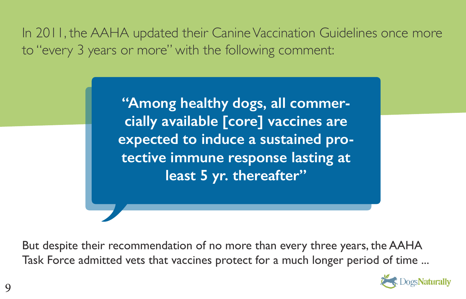In 2011, the AAHA updated their Canine Vaccination Guidelines once more to "every 3 years or more" with the following comment:

> **"Among healthy dogs, all commercially available [core] vaccines are expected to induce a sustained protective immune response lasting at least 5 yr. thereafter"**

But despite their recommendation of no more than every three years, the AAHA Task Force admitted vets that vaccines protect for a much longer period of time ...

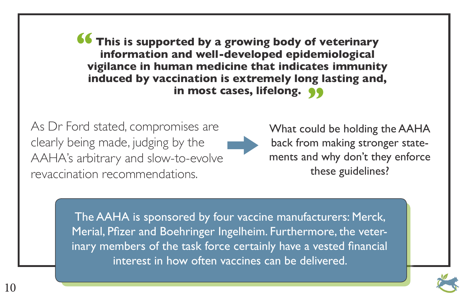**This is supported by a growing body of veterinary information and well-developed epidemiological vigilance in human medicine that indicates immunity induced by vaccination is extremely long lasting and,**  in most cases, lifelong. **99 "**

As Dr Ford stated, compromises are clearly being made, judging by the AAHA's arbitrary and slow-to-evolve revaccination recommendations.

What could be holding the AAHA back from making stronger statements and why don't they enforce these guidelines?

The AAHA is sponsored by four vaccine manufacturers: Merck, Merial, Pfizer and Boehringer Ingelheim. Furthermore, the veterinary members of the task force certainly have a vested financial interest in how often vaccines can be delivered.

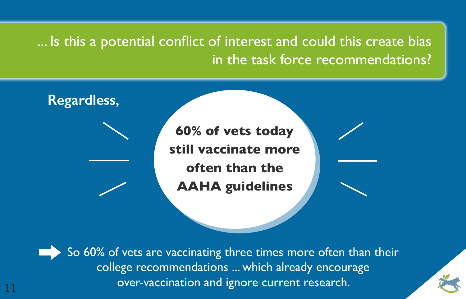#### ... Is this a potential conflict of interest and could this create bias in the task force recommendations?



So 60% of vets are vaccinating three times more often than their college recommendations ... which already encourage over-vaccination and ignore current research.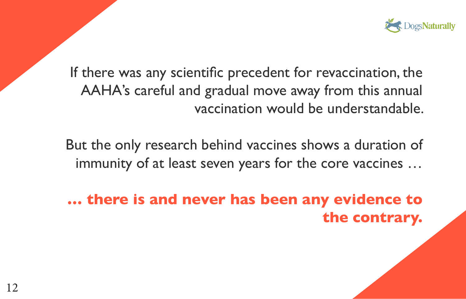

If there was any scientific precedent for revaccination, the AAHA's careful and gradual move away from this annual vaccination would be understandable.

But the only research behind vaccines shows a duration of immunity of at least seven years for the core vaccines …

**… there is and never has been any evidence to the contrary.**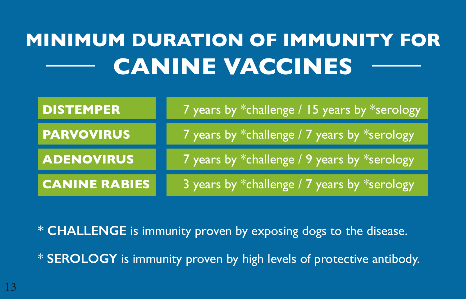## **MINIMUM DURATION OF IMMUNITY FOR CANINE VACCINES**

| <b>DISTEMPER</b>     | 7 years by *challenge / 15 years by *serology |
|----------------------|-----------------------------------------------|
| <b>PARVOVIRUS</b>    | 7 years by *challenge / 7 years by *serology  |
| <b>ADENOVIRUS</b>    | 7 years by *challenge / 9 years by *serology  |
| <b>CANINE RABIES</b> | 3 years by *challenge / 7 years by *serology  |

**\* CHALLENGE** is immunity proven by exposing dogs to the disease.

\* **SEROLOGY** is immunity proven by high levels of protective antibody.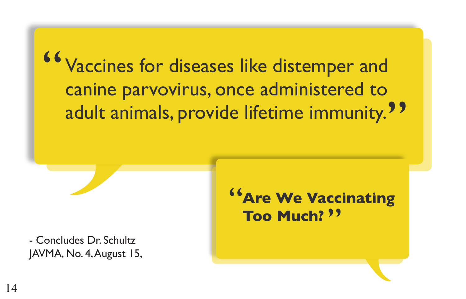Vaccines for diseases like distemper and canine parvovirus, once administered to adult animals, provide lifetime immunity.<sup>99</sup> "

- Concludes Dr. Schultz JAVMA, No. 4, August 15,

**Are We Vaccinating Too Much?** " **"**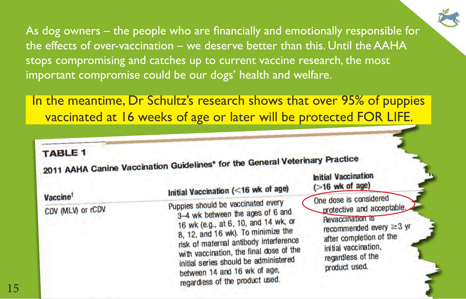As dog owners – the people who are financially and emotionally responsible for the effects of over-vaccination – we deserve better than this. Until the AAHA stops compromising and catches up to current vaccine research, the most important compromise could be our dogs' health and welfare.

In the meantime, Dr Schultz's research shows that over 95% of puppies vaccinated at 16 weeks of age or later will be protected FOR LIFE.

#### **TABLE 1**

1 ABLE 1<br>2011 AAHA Canine Vaccination Guidelines\* for the General Veterinary Practice **Initial Vaccination** 

| Vaccine <sup>t</sup> | Initial Vaccination (<16 wk of age)                                                                                                                                                                                                                                                                                                                   | $($ >16 wk of age)                                                                                                                                                                                        |
|----------------------|-------------------------------------------------------------------------------------------------------------------------------------------------------------------------------------------------------------------------------------------------------------------------------------------------------------------------------------------------------|-----------------------------------------------------------------------------------------------------------------------------------------------------------------------------------------------------------|
| CDV (MLV) or rCDV    | Puppies should be vaccinated every<br>3-4 wk between the ages of 6 and<br>16 wk (e.g., at 6, 10, and 14 wk, or<br>8, 12, and 16 wk). To minimize the<br>risk of maternal antibody interference<br>with vaccination, the final dose of the<br>initial series should be administered<br>between 14 and 16 wk of age,<br>regardless of the product used. | One dose is considered<br>protective and acceptable.<br><b>Revaccination is</b><br>recommended every $\geq$ 3 yr<br>after completion of the<br>initial vaccination,<br>regardless of the<br>product used. |
|                      |                                                                                                                                                                                                                                                                                                                                                       |                                                                                                                                                                                                           |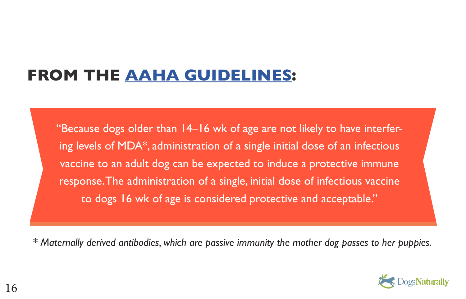### **FROM THE [AAHA GUIDELINES](https://www.aaha.org/public_documents/professional/guidelines/caninevaccineguidelines.pdf):**

"Because dogs older than 14–16 wk of age are not likely to have interfering levels of MDA\*, administration of a single initial dose of an infectious vaccine to an adult dog can be expected to induce a protective immune response. The administration of a single, initial dose of infectious vaccine to dogs 16 wk of age is considered protective and acceptable."

*\* Maternally derived antibodies, which are passive immunity the mother dog passes to her puppies.*

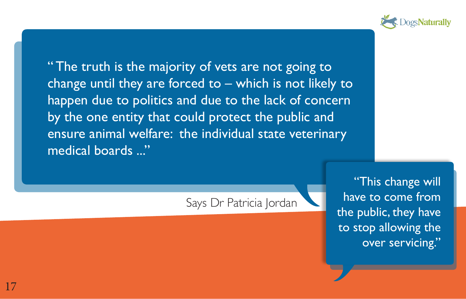

"The truth is the majority of vets are not going to change until they are forced to – which is not likely to happen due to politics and due to the lack of concern by the one entity that could protect the public and ensure animal welfare: the individual state veterinary medical boards ..."

Says Dr Patricia Jordan

"This change will have to come from the public, they have to stop allowing the over servicing."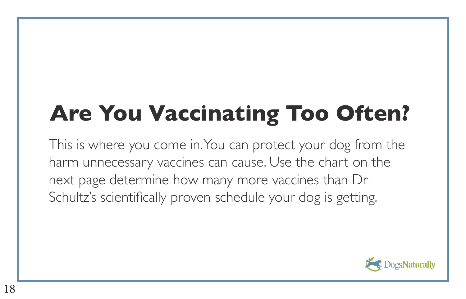# **Are You Vaccinating Too Often?**

This is where you come in. You can protect your dog from the harm unnecessary vaccines can cause. Use the chart on the next page determine how many more vaccines than Dr Schultz's scientifically proven schedule your dog is getting.

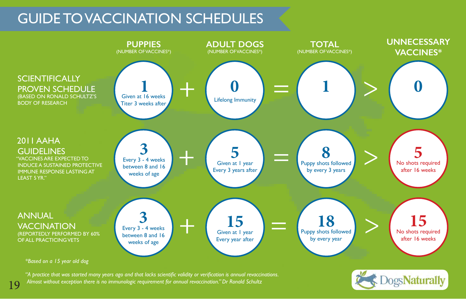#### GUIDE TO VACCINATION SCHEDULES



*"A practice that was started many years ago and that lacks scientific validity or verification is annual revaccinations. Almost without exception there is no immunologic requirement for annual revaccination." Dr Ronald Schultz*

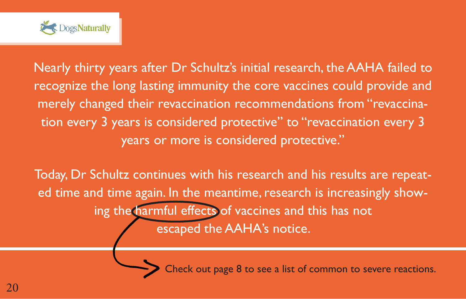

Nearly thirty years after Dr Schultz's initial research, the AAHA failed to recognize the long lasting immunity the core vaccines could provide and merely changed their revaccination recommendations from "revaccination every 3 years is considered protective" to "revaccination every 3 years or more is considered protective."

Today, Dr Schultz continues with his research and his results are repeated time and time again. In the meantime, research is increasingly showing the harmful effects of vaccines and this has not escaped the AAHA's notice.